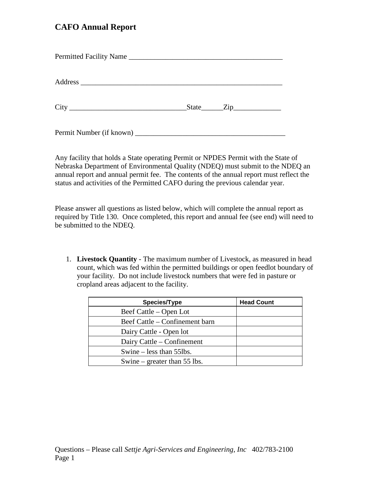## **CAFO Annual Report**

| Permitted Facility Name  |               |  |
|--------------------------|---------------|--|
|                          |               |  |
|                          | $State$ $Zip$ |  |
| Permit Number (if known) |               |  |

Any facility that holds a State operating Permit or NPDES Permit with the State of Nebraska Department of Environmental Quality (NDEQ) must submit to the NDEQ an annual report and annual permit fee. The contents of the annual report must reflect the status and activities of the Permitted CAFO during the previous calendar year.

Please answer all questions as listed below, which will complete the annual report as required by Title 130. Once completed, this report and annual fee (see end) will need to be submitted to the NDEQ.

1. **Livestock Quantity** - The maximum number of Livestock, as measured in head count, which was fed within the permitted buildings or open feedlot boundary of your facility. Do not include livestock numbers that were fed in pasture or cropland areas adjacent to the facility.

| <b>Species/Type</b>            | <b>Head Count</b> |
|--------------------------------|-------------------|
| Beef Cattle – Open Lot         |                   |
| Beef Cattle – Confinement barn |                   |
| Dairy Cattle - Open lot        |                   |
| Dairy Cattle – Confinement     |                   |
| Swine $-$ less than 55lbs.     |                   |
| Swine – greater than $55$ lbs. |                   |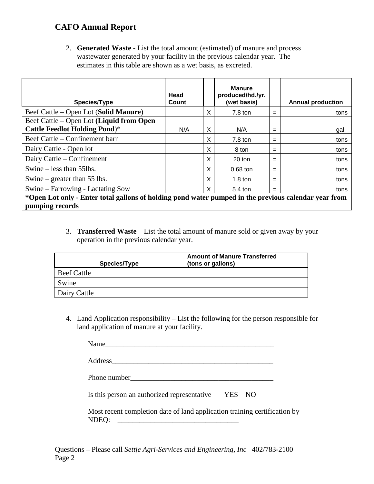## **CAFO Annual Report**

2. **Generated Waste** - List the total amount (estimated) of manure and process wastewater generated by your facility in the previous calendar year. The estimates in this table are shown as a wet basis, as excreted.

| Species/Type                                                                                         | Head<br>Count |   | <b>Manure</b><br>produced/hd./yr.<br>(wet basis) |     | <b>Annual production</b> |
|------------------------------------------------------------------------------------------------------|---------------|---|--------------------------------------------------|-----|--------------------------|
| Beef Cattle – Open Lot (Solid Manure)                                                                |               | X | $7.8$ ton                                        | $=$ | tons                     |
| Beef Cattle – Open Lot (Liquid from Open                                                             |               |   |                                                  |     |                          |
| <b>Cattle Feedlot Holding Pond)*</b>                                                                 | N/A           | X | N/A                                              | $=$ | gal.                     |
| Beef Cattle – Confinement barn                                                                       |               | X | 7.8 ton                                          | $=$ | tons                     |
| Dairy Cattle - Open lot                                                                              |               | X | 8 ton                                            | $=$ | tons                     |
| Dairy Cattle – Confinement                                                                           |               | X | $20$ ton                                         | $=$ | tons                     |
| Swine $-$ less than 55lbs.                                                                           |               | X | $0.68$ ton                                       | $=$ | tons                     |
| Swine – greater than 55 lbs.                                                                         |               | X | $1.8 \text{ ton}$                                | $=$ | tons                     |
| Swine – Farrowing - Lactating Sow                                                                    |               | X | $5.4 \text{ ton}$                                | $=$ | tons                     |
| *Open Lot only - Enter total gallons of holding pond water pumped in the previous calendar year from |               |   |                                                  |     |                          |
| pumping records                                                                                      |               |   |                                                  |     |                          |

3. **Transferred Waste** – List the total amount of manure sold or given away by your operation in the previous calendar year.

| Species/Type       | <b>Amount of Manure Transferred</b><br>(tons or gallons) |
|--------------------|----------------------------------------------------------|
| <b>Beef Cattle</b> |                                                          |
| Swine              |                                                          |
| Dairy Cattle       |                                                          |

4. Land Application responsibility – List the following for the person responsible for land application of manure at your facility.

| <b>NT</b><br>N<br>. . |  |  |  |
|-----------------------|--|--|--|
|                       |  |  |  |

| Address |  |  |  |
|---------|--|--|--|
|         |  |  |  |

Is this person an authorized representative YES NO

Most recent completion date of land application training certification by NDEQ: